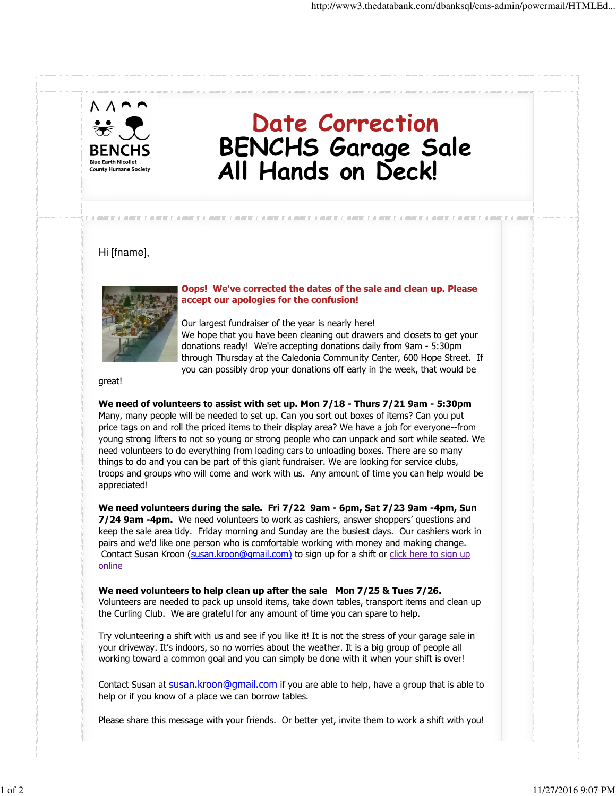